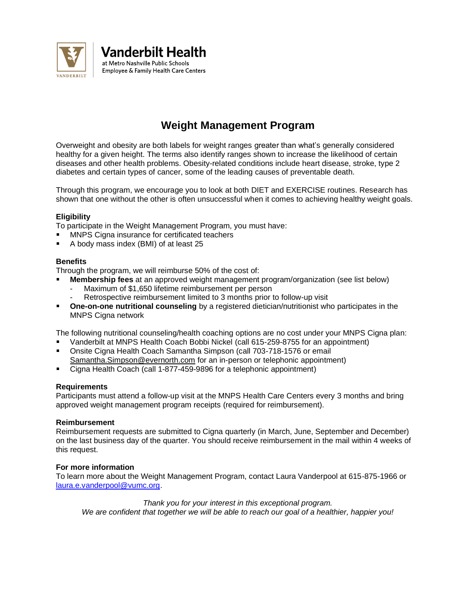

Vanderbilt Health at Metro Nashville Public Schools Employee & Family Health Care Centers

# **Weight Management Program**

Overweight and obesity are both labels for weight ranges greater than what's generally considered healthy for a given height. The terms also identify ranges shown to increase the likelihood of certain diseases and other health problems. Obesity-related conditions include heart disease, stroke, type 2 diabetes and certain types of cancer, some of the leading causes of preventable death.

Through this program, we encourage you to look at both DIET and EXERCISE routines. Research has shown that one without the other is often unsuccessful when it comes to achieving healthy weight goals.

## **Eligibility**

To participate in the Weight Management Program, you must have:

- MNPS Cigna insurance for certificated teachers
- A body mass index (BMI) of at least 25

## **Benefits**

Through the program, we will reimburse 50% of the cost of:

- **Membership fees** at an approved weight management program/organization (see list below)
	- Maximum of \$1,650 lifetime reimbursement per person
	- Retrospective reimbursement limited to 3 months prior to follow-up visit
- **One-on-one nutritional counseling** by a registered dietician/nutritionist who participates in the MNPS Cigna network

The following nutritional counseling/health coaching options are no cost under your MNPS Cigna plan:

- Vanderbilt at MNPS Health Coach Bobbi Nickel (call 615-259-8755 for an appointment)
- Onsite Cigna Health Coach Samantha Simpson (call 703-718-1576 or email [Samantha.Simpson@evernorth.com](mailto:Samantha.Simpson@evernorth.com) for an in-person or telephonic appointment)
- Cigna Health Coach (call 1-877-459-9896 for a telephonic appointment)

#### **Requirements**

Participants must attend a follow-up visit at the MNPS Health Care Centers every 3 months and bring approved weight management program receipts (required for reimbursement).

#### **Reimbursement**

Reimbursement requests are submitted to Cigna quarterly (in March, June, September and December) on the last business day of the quarter. You should receive reimbursement in the mail within 4 weeks of this request.

## **For more information**

To learn more about the Weight Management Program, contact Laura Vanderpool at 615-875-1966 or [laura.e.vanderpool@vumc.org.](mailto:laura.e.vanderpool@vumc.org)

*Thank you for your interest in this exceptional program. We are confident that together we will be able to reach our goal of a healthier, happier you!*